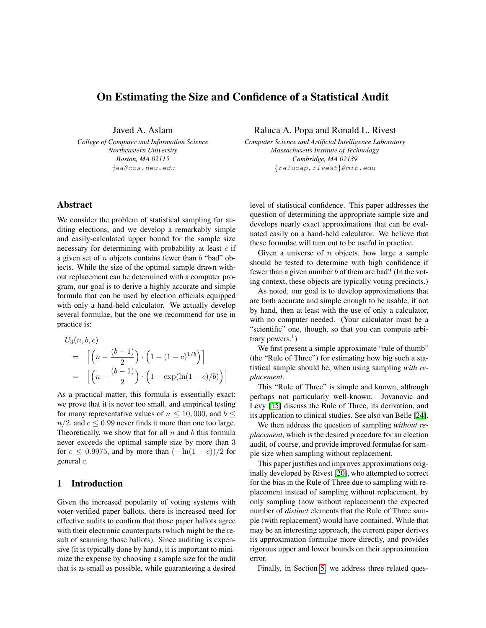# On Estimating the Size and Confidence of a Statistical Audit

Javed A. Aslam

*College of Computer and Information Science Northeastern University Boston, MA 02115* jaa@ccs.neu.edu

# Abstract

We consider the problem of statistical sampling for auditing elections, and we develop a remarkably simple and easily-calculated upper bound for the sample size necessary for determining with probability at least  $c$  if a given set of  $n$  objects contains fewer than  $b$  "bad" objects. While the size of the optimal sample drawn without replacement can be determined with a computer program, our goal is to derive a highly accurate and simple formula that can be used by election officials equipped with only a hand-held calculator. We actually develop several formulae, but the one we recommend for use in practice is:

$$
U_3(n, b, c)
$$
  
= 
$$
\left[ \left( n - \frac{(b-1)}{2} \right) \cdot \left( 1 - (1 - c)^{1/b} \right) \right]
$$
  
= 
$$
\left[ \left( n - \frac{(b-1)}{2} \right) \cdot \left( 1 - \exp(\ln(1 - c)/b) \right) \right]
$$

As a practical matter, this formula is essentially exact: we prove that it is never too small, and empirical testing for many representative values of  $n \leq 10,000$ , and  $b \leq$  $n/2$ , and  $c \le 0.99$  never finds it more than one too large. Theoretically, we show that for all  $n$  and  $b$  this formula never exceeds the optimal sample size by more than 3 for  $c \leq 0.9975$ , and by more than  $(-\ln(1-c))/2$  for general c.

# 1 Introduction

Given the increased popularity of voting systems with voter-verified paper ballots, there is increased need for effective audits to confirm that those paper ballots agree with their electronic counterparts (which might be the result of scanning those ballots). Since auditing is expensive (it is typically done by hand), it is important to minimize the expense by choosing a sample size for the audit that is as small as possible, while guaranteeing a desired Raluca A. Popa and Ronald L. Rivest

*Computer Science and Artificial Intelligence Laboratory Massachusetts Institute of Technology Cambridge, MA 02139* {ralucap,rivest}@mit.edu

level of statistical confidence. This paper addresses the question of determining the appropriate sample size and develops nearly exact approximations that can be evaluated easily on a hand-held calculator. We believe that these formulae will turn out to be useful in practice.

Given a universe of  $n$  objects, how large a sample should be tested to determine with high confidence if fewer than a given number b of them are bad? (In the voting context, these objects are typically voting precincts.)

As noted, our goal is to develop approximations that are both accurate and simple enough to be usable, if not by hand, then at least with the use of only a calculator, with no computer needed. (Your calculator must be a "scientific" one, though, so that you can compute arbitrary powers.<sup>1</sup>)

We first present a simple approximate "rule of thumb" (the "Rule of Three") for estimating how big such a statistical sample should be, when using sampling *with replacement*.

This "Rule of Three" is simple and known, although perhaps not particularly well-known. Jovanovic and Levy [\[15\]](#page-11-0) discuss the Rule of Three, its derivation, and its application to clinical studies. See also van Belle [\[24\]](#page-11-1).

We then address the question of sampling *without replacement*, which is the desired procedure for an election audit, of course, and provide improved formulae for sample size when sampling without replacement.

This paper justifies and improves approximations originally developed by Rivest [\[20\]](#page-11-2), who attempted to correct for the bias in the Rule of Three due to sampling with replacement instead of sampling without replacement, by only sampling (now without replacement) the expected number of *distinct* elements that the Rule of Three sample (with replacement) would have contained. While that may be an interesting approach, the current paper derives its approximation formulae more directly, and provides rigorous upper and lower bounds on their approximation error.

Finally, in Section [5,](#page-8-0) we address three related ques-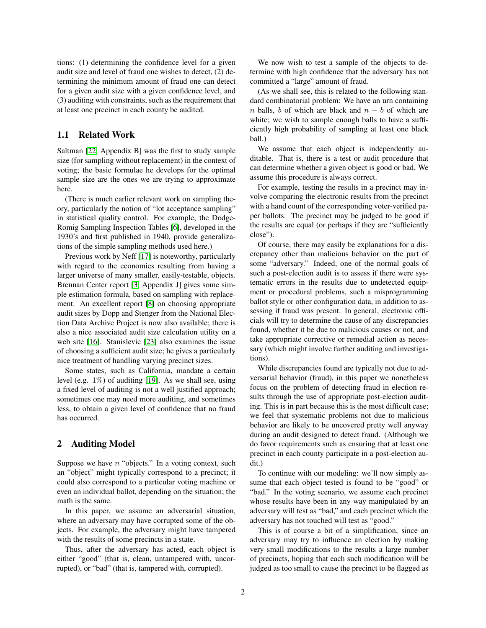tions: (1) determining the confidence level for a given audit size and level of fraud one wishes to detect, (2) determining the minimum amount of fraud one can detect for a given audit size with a given confidence level, and (3) auditing with constraints, such as the requirement that at least one precinct in each county be audited.

## 1.1 Related Work

Saltman [\[22,](#page-11-3) Appendix B] was the first to study sample size (for sampling without replacement) in the context of voting; the basic formulae he develops for the optimal sample size are the ones we are trying to approximate here.

(There is much earlier relevant work on sampling theory, particularly the notion of "lot acceptance sampling" in statistical quality control. For example, the Dodge-Romig Sampling Inspection Tables [\[6\]](#page-11-4), developed in the 1930's and first published in 1940, provide generalizations of the simple sampling methods used here.)

Previous work by Neff [\[17\]](#page-11-5) is noteworthy, particularly with regard to the economies resulting from having a larger universe of many smaller, easily-testable, objects. Brennan Center report [\[3,](#page-11-6) Appendix J] gives some simple estimation formula, based on sampling with replacement. An excellent report [\[8\]](#page-11-7) on choosing appropriate audit sizes by Dopp and Stenger from the National Election Data Archive Project is now also available; there is also a nice associated audit size calculation utility on a web site [\[16\]](#page-11-8). Stanislevic [\[23\]](#page-11-9) also examines the issue of choosing a sufficient audit size; he gives a particularly nice treatment of handling varying precinct sizes.

Some states, such as California, mandate a certain level (e.g.  $1\%$ ) of auditing [\[19\]](#page-11-10). As we shall see, using a fixed level of auditing is not a well justified approach; sometimes one may need more auditing, and sometimes less, to obtain a given level of confidence that no fraud has occurred.

## <span id="page-1-0"></span>2 Auditing Model

Suppose we have  $n$  "objects." In a voting context, such an "object" might typically correspond to a precinct; it could also correspond to a particular voting machine or even an individual ballot, depending on the situation; the math is the same.

In this paper, we assume an adversarial situation, where an adversary may have corrupted some of the objects. For example, the adversary might have tampered with the results of some precincts in a state.

Thus, after the adversary has acted, each object is either "good" (that is, clean, untampered with, uncorrupted), or "bad" (that is, tampered with, corrupted).

We now wish to test a sample of the objects to determine with high confidence that the adversary has not committed a "large" amount of fraud.

(As we shall see, this is related to the following standard combinatorial problem: We have an urn containing n balls, b of which are black and  $n - b$  of which are white; we wish to sample enough balls to have a sufficiently high probability of sampling at least one black ball.)

We assume that each object is independently auditable. That is, there is a test or audit procedure that can determine whether a given object is good or bad. We assume this procedure is always correct.

For example, testing the results in a precinct may involve comparing the electronic results from the precinct with a hand count of the corresponding voter-verified paper ballots. The precinct may be judged to be good if the results are equal (or perhaps if they are "sufficiently close").

Of course, there may easily be explanations for a discrepancy other than malicious behavior on the part of some "adversary." Indeed, one of the normal goals of such a post-election audit is to assess if there were systematic errors in the results due to undetected equipment or procedural problems, such a misprogramming ballot style or other configuration data, in addition to assessing if fraud was present. In general, electronic officials will try to determine the cause of any discrepancies found, whether it be due to malicious causes or not, and take appropriate corrective or remedial action as necessary (which might involve further auditing and investigations).

While discrepancies found are typically not due to adversarial behavior (fraud), in this paper we nonetheless focus on the problem of detecting fraud in election results through the use of appropriate post-election auditing. This is in part because this is the most difficult case; we feel that systematic problems not due to malicious behavior are likely to be uncovered pretty well anyway during an audit designed to detect fraud. (Although we do favor requirements such as ensuring that at least one precinct in each county participate in a post-election audit.)

To continue with our modeling: we'll now simply assume that each object tested is found to be "good" or "bad." In the voting scenario, we assume each precinct whose results have been in any way manipulated by an adversary will test as "bad," and each precinct which the adversary has not touched will test as "good."

This is of course a bit of a simplification, since an adversary may try to influence an election by making very small modifications to the results a large number of precincts, hoping that each such modification will be judged as too small to cause the precinct to be flagged as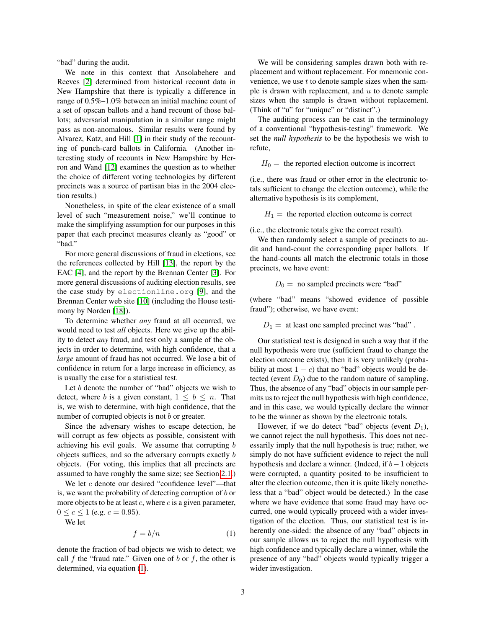"bad" during the audit.

We note in this context that Ansolabehere and Reeves [\[2\]](#page-11-11) determined from historical recount data in New Hampshire that there is typically a difference in range of 0.5%–1.0% between an initial machine count of a set of opscan ballots and a hand recount of those ballots; adversarial manipulation in a similar range might pass as non-anomalous. Similar results were found by Alvarez, Katz, and Hill [\[1\]](#page-11-12) in their study of the recounting of punch-card ballots in California. (Another interesting study of recounts in New Hampshire by Herron and Wand [\[12\]](#page-11-13) examines the question as to whether the choice of different voting technologies by different precincts was a source of partisan bias in the 2004 election results.)

Nonetheless, in spite of the clear existence of a small level of such "measurement noise," we'll continue to make the simplifying assumption for our purposes in this paper that each precinct measures cleanly as "good" or "bad."

For more general discussions of fraud in elections, see the references collected by Hill [\[13\]](#page-11-14), the report by the EAC [\[4\]](#page-11-15), and the report by the Brennan Center [\[3\]](#page-11-6). For more general discussions of auditing election results, see the case study by electionline.org [\[9\]](#page-11-16), and the Brennan Center web site [\[10\]](#page-11-17) (including the House testimony by Norden [\[18\]](#page-11-18)).

To determine whether *any* fraud at all occurred, we would need to test *all* objects. Here we give up the ability to detect *any* fraud, and test only a sample of the objects in order to determine, with high confidence, that a *large* amount of fraud has not occurred. We lose a bit of confidence in return for a large increase in efficiency, as is usually the case for a statistical test.

Let  $b$  denote the number of "bad" objects we wish to detect, where b is a given constant,  $1 \leq b \leq n$ . That is, we wish to determine, with high confidence, that the number of corrupted objects is not  $b$  or greater.

Since the adversary wishes to escape detection, he will corrupt as few objects as possible, consistent with achieving his evil goals. We assume that corrupting b objects suffices, and so the adversary corrupts exactly b objects. (For voting, this implies that all precincts are assumed to have roughly the same size; see Section [2.1.](#page-3-0))

We let  $c$  denote our desired "confidence level"—that is, we want the probability of detecting corruption of  $b$  or more objects to be at least  $c$ , where  $c$  is a given parameter,  $0 \leq c \leq 1$  (e.g.  $c = 0.95$ ).

We let

<span id="page-2-0"></span>
$$
f = b/n \tag{1}
$$

denote the fraction of bad objects we wish to detect; we call f the "fraud rate." Given one of b or f, the other is determined, via equation [\(1\)](#page-2-0).

We will be considering samples drawn both with replacement and without replacement. For mnemonic convenience, we use  $t$  to denote sample sizes when the sample is drawn with replacement, and  $u$  to denote sample sizes when the sample is drawn without replacement. (Think of "u" for "unique" or "distinct".)

The auditing process can be cast in the terminology of a conventional "hypothesis-testing" framework. We set the *null hypothesis* to be the hypothesis we wish to refute,

 $H_0 =$  the reported election outcome is incorrect

(i.e., there was fraud or other error in the electronic totals sufficient to change the election outcome), while the alternative hypothesis is its complement,

 $H_1$  = the reported election outcome is correct

(i.e., the electronic totals give the correct result).

We then randomly select a sample of precincts to audit and hand-count the corresponding paper ballots. If the hand-counts all match the electronic totals in those precincts, we have event:

 $D_0 =$  no sampled precincts were "bad"

(where "bad" means "showed evidence of possible fraud"); otherwise, we have event:

#### $D_1 =$  at least one sampled precinct was "bad".

Our statistical test is designed in such a way that if the null hypothesis were true (sufficient fraud to change the election outcome exists), then it is very unlikely (probability at most  $1 - c$ ) that no "bad" objects would be detected (event  $D_0$ ) due to the random nature of sampling. Thus, the absence of any "bad" objects in our sample permits us to reject the null hypothesis with high confidence, and in this case, we would typically declare the winner to be the winner as shown by the electronic totals.

However, if we do detect "bad" objects (event  $D_1$ ), we cannot reject the null hypothesis. This does not necessarily imply that the null hypothesis is true; rather, we simply do not have sufficient evidence to reject the null hypothesis and declare a winner. (Indeed, if  $b-1$  objects were corrupted, a quantity posited to be insufficient to alter the election outcome, then it is quite likely nonetheless that a "bad" object would be detected.) In the case where we have evidence that some fraud may have occurred, one would typically proceed with a wider investigation of the election. Thus, our statistical test is inherently one-sided: the absence of any "bad" objects in our sample allows us to reject the null hypothesis with high confidence and typically declare a winner, while the presence of any "bad" objects would typically trigger a wider investigation.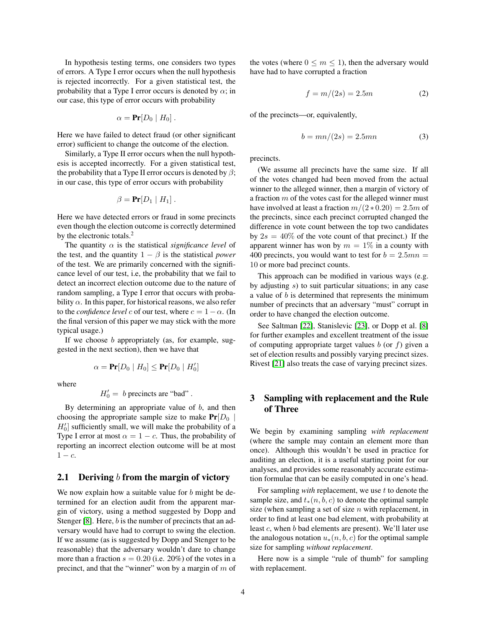In hypothesis testing terms, one considers two types of errors. A Type I error occurs when the null hypothesis is rejected incorrectly. For a given statistical test, the probability that a Type I error occurs is denoted by  $\alpha$ ; in our case, this type of error occurs with probability

$$
\alpha = \Pr[D_0 | H_0].
$$

Here we have failed to detect fraud (or other significant error) sufficient to change the outcome of the election.

Similarly, a Type II error occurs when the null hypothesis is accepted incorrectly. For a given statistical test, the probability that a Type II error occurs is denoted by  $\beta$ ; in our case, this type of error occurs with probability

$$
\beta = \Pr[D_1 | H_1].
$$

Here we have detected errors or fraud in some precincts even though the election outcome is correctly determined by the electronic totals.<sup>2</sup>

The quantity  $\alpha$  is the statistical *significance level* of the test, and the quantity  $1 - \beta$  is the statistical *power* of the test. We are primarily concerned with the significance level of our test, i.e, the probability that we fail to detect an incorrect election outcome due to the nature of random sampling, a Type I error that occurs with probability  $\alpha$ . In this paper, for historical reasons, we also refer to the *confidence level* c of our test, where  $c = 1 - \alpha$ . (In the final version of this paper we may stick with the more typical usage.)

If we choose  $b$  appropriately (as, for example, suggested in the next section), then we have that

$$
\alpha = \Pr[D_0 \mid H_0] \le \Pr[D_0 \mid H'_0]
$$

where

 $H_0' = b$  precincts are "bad".

By determining an appropriate value of  $b$ , and then choosing the appropriate sample size to make  $Pr[D_0 |$  $H'_0$ ] sufficiently small, we will make the probability of a Type I error at most  $\alpha = 1 - c$ . Thus, the probability of reporting an incorrect election outcome will be at most  $1 - c$ .

# <span id="page-3-0"></span>2.1 Deriving  $b$  from the margin of victory

We now explain how a suitable value for  $b$  might be determined for an election audit from the apparent margin of victory, using a method suggested by Dopp and Stenger [\[8\]](#page-11-7). Here, b is the number of precincts that an adversary would have had to corrupt to swing the election. If we assume (as is suggested by Dopp and Stenger to be reasonable) that the adversary wouldn't dare to change more than a fraction  $s = 0.20$  (i.e. 20%) of the votes in a precinct, and that the "winner" won by a margin of  $m$  of the votes (where  $0 \le m \le 1$ ), then the adversary would have had to have corrupted a fraction

$$
f = m/(2s) = 2.5m\tag{2}
$$

of the precincts—or, equivalently,

<span id="page-3-1"></span>
$$
b = mn/(2s) = 2.5mn \tag{3}
$$

precincts.

(We assume all precincts have the same size. If all of the votes changed had been moved from the actual winner to the alleged winner, then a margin of victory of a fraction  $m$  of the votes cast for the alleged winner must have involved at least a fraction  $m/(2 * 0.20) = 2.5m$  of the precincts, since each precinct corrupted changed the difference in vote count between the top two candidates by  $2s = 40\%$  of the vote count of that precinct.) If the apparent winner has won by  $m = 1\%$  in a county with 400 precincts, you would want to test for  $b = 2.5mn$ 10 or more bad precinct counts.

This approach can be modified in various ways (e.g. by adjusting s) to suit particular situations; in any case a value of  $b$  is determined that represents the minimum number of precincts that an adversary "must" corrupt in order to have changed the election outcome.

See Saltman [\[22\]](#page-11-3), Stanislevic [\[23\]](#page-11-9), or Dopp et al. [\[8\]](#page-11-7) for further examples and excellent treatment of the issue of computing appropriate target values  $b$  (or  $f$ ) given a set of election results and possibly varying precinct sizes. Rivest [\[21\]](#page-11-19) also treats the case of varying precinct sizes.

# 3 Sampling with replacement and the Rule of Three

We begin by examining sampling *with replacement* (where the sample may contain an element more than once). Although this wouldn't be used in practice for auditing an election, it is a useful starting point for our analyses, and provides some reasonably accurate estimation formulae that can be easily computed in one's head.

For sampling *with* replacement, we use t to denote the sample size, and  $t_*(n, b, c)$  to denote the optimal sample size (when sampling a set of size  $n$  with replacement, in order to find at least one bad element, with probability at least c, when b bad elements are present). We'll later use the analogous notation  $u_*(n, b, c)$  for the optimal sample size for sampling *without replacement*.

Here now is a simple "rule of thumb" for sampling with replacement.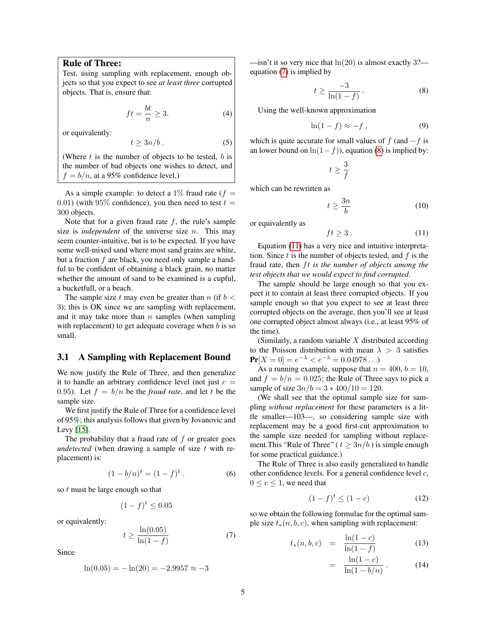# Rule of Three:

Test, using sampling with replacement, enough objects so that you expect to see *at least three* corrupted objects. That is, ensure that:

$$
ft = \frac{bt}{n} \ge 3.
$$
 (4)

or equivalently:

$$
t \ge 3n/b. \tag{5}
$$

(Where  $t$  is the number of objects to be tested,  $b$  is the number of bad objects one wishes to detect, and  $f = b/n$ , at a 95% confidence level.)

As a simple example: to detect a 1\% fraud rate ( $f =$ 0.01) (with 95% confidence), you then need to test  $t =$ 300 objects.

Note that for a given fraud rate  $f$ , the rule's sample size is *independent* of the universe size n. This may seem counter-intuitive, but is to be expected. If you have some well-mixed sand where most sand grains are white, but a fraction f are black, you need only sample a handful to be confident of obtaining a black grain, no matter whether the amount of sand to be examined is a cupful, a bucketfull, or a beach.

The sample size t may even be greater than  $n$  (if  $b <$ 3); this is OK since we are sampling with replacement, and it may take more than  $n$  samples (when sampling with replacement) to get adequate coverage when  $b$  is so small.

# 3.1 A Sampling with Replacement Bound

We now justify the Rule of Three, and then generalize it to handle an arbitrary confidence level (not just  $c =$ 0.95). Let  $f = b/n$  be the *fraud rate*, and let t be the sample size.

We first justify the Rule of Three for a confidence level of 95%; this analysis follows that given by Jovanovic and Levy [\[15\]](#page-11-0).

The probability that a fraud rate of  $f$  or greater goes *undetected* (when drawing a sample of size t with replacement) is:

$$
(1 - b/n)^t = (1 - f)^t.
$$
 (6)

so t must be large enough so that

$$
(1-f)^t \le 0.05
$$

or equivalently:

<span id="page-4-0"></span>
$$
t \ge \frac{\ln(0.05)}{\ln(1-f)}\tag{7}
$$

Since

$$
ln(0.05) = -ln(20) = -2.9957 \approx -3
$$

—isn't it so very nice that  $ln(20)$  is almost exactly 3? equation [\(7\)](#page-4-0) is implied by

<span id="page-4-1"></span>
$$
t \ge \frac{-3}{\ln(1-f)}\,. \tag{8}
$$

Using the well-known approximation

<span id="page-4-4"></span>
$$
\ln(1-f) \approx -f \,, \tag{9}
$$

which is quite accurate for small values of f (and  $-f$  is an lower bound on  $\ln(1-f)$ ), equation [\(8\)](#page-4-1) is implied by:

$$
t\geq \frac{3}{f}
$$

which can be rewritten as

$$
t \ge \frac{3n}{b} \tag{10}
$$

or equivalently as

<span id="page-4-2"></span>
$$
ft \ge 3. \tag{11}
$$

Equation [\(11\)](#page-4-2) has a very nice and intuitive interpretation. Since  $t$  is the number of objects tested, and  $f$  is the fraud rate, then ft is the number of objects among the *test objects that we would expect to find corrupted*.

The sample should be large enough so that you expect it to contain at least three corrupted objects. If you sample enough so that you expect to see at least three corrupted objects on the average, then you'll see at least one corrupted object almost always (i.e., at least 95% of the time).

(Similarly, a random variable  $X$  distributed according to the Poisson distribution with mean  $\lambda > 3$  satisfies  $Pr[X = 0] = e^{-\lambda} < e^{-3} = 0.04978...$ 

As a running example, suppose that  $n = 400$ ,  $b = 10$ , and  $f = b/n = 0.025$ ; the Rule of Three says to pick a sample of size  $3n/b = 3 * 400/10 = 120$ .

(We shall see that the optimal sample size for sampling *without replacement* for these parameters is a little smaller—103—, so considering sample size with replacement may be a good first-cut approximation to the sample size needed for sampling without replacement. This "Rule of Three" ( $t \geq 3n/b$ ) is simple enough for some practical guidance.)

The Rule of Three is also easily generalized to handle other confidence levels. For a general confidence level c,  $0 \leq c \leq 1$ , we need that

$$
(1 - f)^t \le (1 - c) \tag{12}
$$

so we obtain the following formulae for the optimal sample size  $t_*(n, b, c)$ , when sampling with replacement:

<span id="page-4-3"></span>
$$
t_*(n, b, c) = \frac{\ln(1 - c)}{\ln(1 - f)}
$$
(13)

$$
= \frac{\ln(1-c)}{\ln(1-b/n)}.
$$
 (14)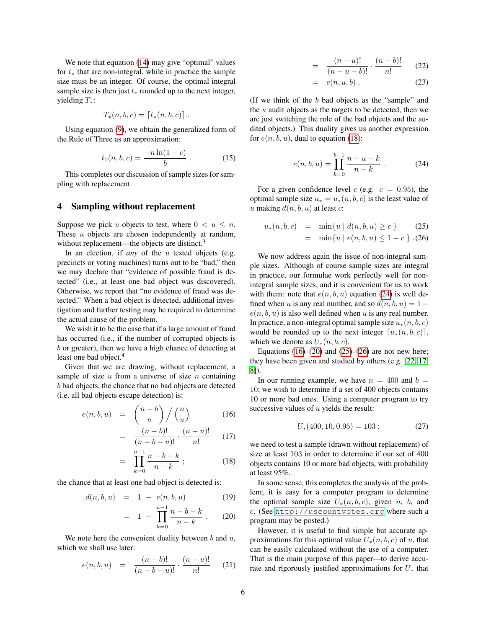We note that equation [\(14\)](#page-4-3) may give "optimal" values for  $t<sub>*</sub>$  that are non-integral, while in practice the sample size must be an integer. Of course, the optimal integral sample size is then just  $t_*$  rounded up to the next integer, yielding T∗:

$$
T_*(n, b, c) = [t_*(n, b, c)] .
$$

Using equation [\(9\)](#page-4-4), we obtain the generalized form of the Rule of Three as an approximation:

$$
t_1(n,b,c) = \frac{-n\ln(1-c)}{b} \,. \tag{15}
$$

This completes our discussion of sample sizes for sampling with replacement.

#### <span id="page-5-4"></span>4 Sampling without replacement

Suppose we pick u objects to test, where  $0 < u \leq n$ . These *u* objects are chosen independently at random, without replacement—the objects are distinct.<sup>3</sup>

In an election, if *any* of the u tested objects (e.g. precincts or voting machines) turns out to be "bad," then we may declare that "evidence of possible fraud is detected" (i.e., at least one bad object was discovered). Otherwise, we report that "no evidence of fraud was detected." When a bad object is detected, additional investigation and further testing may be required to determine the actual cause of the problem.

We wish it to be the case that if a large amount of fraud has occurred (i.e., if the number of corrupted objects is b or greater), then we have a high chance of detecting at least one bad object.<sup>4</sup>

Given that we are drawing, without replacement, a sample of size  $u$  from a universe of size  $n$  containing b bad objects, the chance that no bad objects are detected (i.e. all bad objects escape detection) is:

<span id="page-5-0"></span>
$$
e(n, b, u) = {n-b \choose u} / {n \choose u} \qquad (16)
$$

$$
= \frac{(n-b)!}{(n-b-u)!} \cdot \frac{(n-u)!}{n!} \qquad (17)
$$

$$
= \prod_{k=0}^{u-1} \frac{n-b-k}{n-k} ; \qquad (18)
$$

the chance that at least one bad object is detected is:

<span id="page-5-2"></span>
$$
d(n, b, u) = 1 - e(n, b, u)
$$
 (19)

$$
= 1 - \prod_{k=0}^{u-1} \frac{n-b-k}{n-k} \,. \tag{20}
$$

We note here the convenient duality between  $b$  and  $u$ , which we shall use later:

$$
e(n, b, u) = \frac{(n - b)!}{(n - b - u)!} \cdot \frac{(n - u)!}{n!} \qquad (21)
$$

$$
= \frac{(n-u)!}{(n-u-b)!} \cdot \frac{(n-b)!}{n!} \qquad (22)
$$

$$
= e(n, u, b). \tag{23}
$$

(If we think of the b bad objects as the "sample" and the  $u$  audit objects as the targets to be detected, then we are just switching the role of the bad objects and the audited objects.) This duality gives us another expression for  $e(n, b, u)$ , dual to equation [\(18\)](#page-5-0):

=

<span id="page-5-1"></span>
$$
e(n, b, u) = \prod_{k=0}^{b-1} \frac{n-u-k}{n-k} .
$$
 (24)

For a given confidence level c (e.g.  $c = 0.95$ ), the optimal sample size  $u_* = u_*(n, b, c)$  is the least value of u making  $d(n, b, u)$  at least c:

<span id="page-5-3"></span>
$$
u_*(n, b, c) = \min\{u \mid d(n, b, u) \ge c\}
$$
 (25)

$$
= \min\{u \mid e(n, b, u) \le 1 - c\} \tag{26}
$$

We now address again the issue of non-integral sample sizes. Although of course sample sizes are integral in practice, our formulae work perfectly well for nonintegral sample sizes, and it is convenient for us to work with them: note that  $e(n, b, u)$  equation [\(24\)](#page-5-1) is well defined when u is any real number, and so  $d(n, b, u) = 1$  $e(n, b, u)$  is also well defined when u is any real number. In practice, a non-integral optimal sample size  $u_*(n, b, c)$ would be rounded up to the next integer  $[u_*(n, b, c)]$ , which we denote as  $U_*(n, b, c)$ .

Equations  $(16)$ – $(20)$  and  $(25)$ – $(26)$  are not new here; they have been given and studied by others (e.g. [\[22,](#page-11-3) [17,](#page-11-5) [8\]](#page-11-7)).

In our running example, we have  $n = 400$  and  $b =$ 10; we wish to determine if a set of 400 objects contains 10 or more bad ones. Using a computer program to try successive values of  $u$  yields the result:

$$
U_*(400, 10, 0.95) = 103 ; \t(27)
$$

we need to test a sample (drawn without replacement) of size at least 103 in order to determine if our set of 400 objects contains 10 or more bad objects, with probability at least 95%.

In some sense, this completes the analysis of the problem; it is easy for a computer program to determine the optimal sample size  $U_*(n, b, c)$ , given n, b, and c. (See <http://uscountvotes.org> where such a program may be posted.)

However, it is useful to find simple but accurate approximations for this optimal value  $U_*(n, b, c)$  of u, that can be easily calculated without the use of a computer. That is the main purpose of this paper—to derive accurate and rigorously justified approximations for  $U_*$  that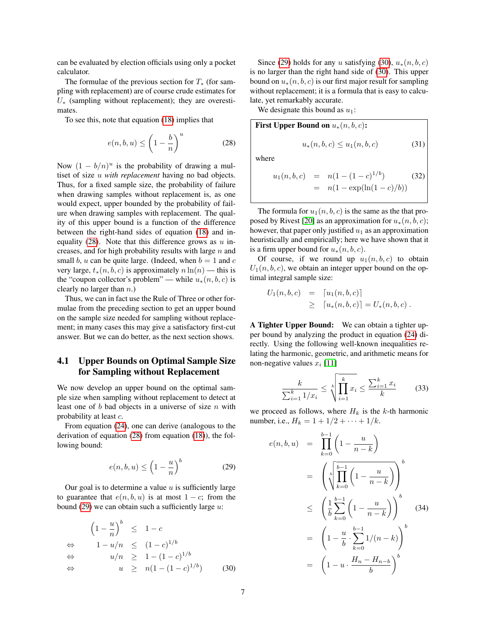can be evaluated by election officials using only a pocket calculator.

The formulae of the previous section for  $T_*$  (for sampling with replacement) are of course crude estimates for  $U_*$  (sampling without replacement); they are overestimates.

To see this, note that equation [\(18\)](#page-5-0) implies that

<span id="page-6-0"></span>
$$
e(n, b, u) \le \left(1 - \frac{b}{n}\right)^u \tag{28}
$$

Now  $(1 - b/n)^u$  is the probability of drawing a multiset of size u *with replacement* having no bad objects. Thus, for a fixed sample size, the probability of failure when drawing samples without replacement is, as one would expect, upper bounded by the probability of failure when drawing samples with replacement. The quality of this upper bound is a function of the difference between the right-hand sides of equation [\(18\)](#page-5-0) and inequality  $(28)$ . Note that this difference grows as u increases, and for high probability results with large  $n$  and small b, u can be quite large. (Indeed, when  $b = 1$  and c very large,  $t_*(n, b, c)$  is approximately  $n \ln(n)$  — this is the "coupon collector's problem" — while  $u_*(n, b, c)$  is clearly no larger than  $n$ .)

Thus, we can in fact use the Rule of Three or other formulae from the preceding section to get an upper bound on the sample size needed for sampling without replacement; in many cases this may give a satisfactory first-cut answer. But we can do better, as the next section shows.

# 4.1 Upper Bounds on Optimal Sample Size for Sampling without Replacement

We now develop an upper bound on the optimal sample size when sampling without replacement to detect at least one of  $b$  bad objects in a universe of size  $n$  with probability at least c.

From equation [\(24\)](#page-5-1), one can derive (analogous to the derivation of equation [\(28\)](#page-6-0) from equation [\(18\)](#page-5-0)), the following bound:

<span id="page-6-1"></span>
$$
e(n, b, u) \le \left(1 - \frac{u}{n}\right)^b \tag{29}
$$

Our goal is to determine a value  $u$  is sufficiently large to guarantee that  $e(n, b, u)$  is at most  $1 - c$ ; from the bound [\(29\)](#page-6-1) we can obtain such a sufficiently large  $u$ :

$$
\left(1 - \frac{u}{n}\right)^b \leq 1 - c
$$
\n
$$
\Leftrightarrow \quad 1 - u/n \leq (1 - c)^{1/b}
$$
\n
$$
\Leftrightarrow \quad u/n \geq 1 - (1 - c)^{1/b}
$$
\n
$$
\Leftrightarrow \quad u \geq n(1 - (1 - c)^{1/b}) \qquad (30)
$$

Since [\(29\)](#page-6-1) holds for any u satisfying [\(30\)](#page-6-1),  $u_*(n, b, c)$ is no larger than the right hand side of [\(30\)](#page-6-1). This upper bound on  $u_*(n, b, c)$  is our first major result for sampling without replacement; it is a formula that is easy to calculate, yet remarkably accurate.

We designate this bound as  $u_1$ :

First Upper Bound on 
$$
u_*(n, b, c)
$$
:  

$$
u_*(n, b, c) \le u_1(n, b, c)
$$
(31)

where

<span id="page-6-4"></span>
$$
u_1(n, b, c) = n(1 - (1 - c)^{1/b}) \qquad (32)
$$
  
= n(1 - \exp(\ln(1 - c)/b))

The formula for  $u_1(n, b, c)$  is the same as the that pro-posed by Rivest [\[20\]](#page-11-2) as an approximation for  $u_*(n, b, c)$ ; however, that paper only justified  $u_1$  as an approximation heuristically and empirically; here we have shown that it is a firm upper bound for  $u_*(n, b, c)$ .

Of course, if we round up  $u_1(n, b, c)$  to obtain  $U_1(n, b, c)$ , we obtain an integer upper bound on the optimal integral sample size:

$$
U_1(n, b, c) = [u_1(n, b, c)]
$$
  
\n
$$
\geq [u_*(n, b, c)] = U_*(n, b, c).
$$

A Tighter Upper Bound: We can obtain a tighter upper bound by analyzing the product in equation [\(24\)](#page-5-1) directly. Using the following well-known inequalities relating the harmonic, geometric, and arithmetic means for non-negative values  $x_i$  [\[11\]](#page-11-20)

<span id="page-6-3"></span>
$$
\frac{k}{\sum_{i=1}^{k} 1/x_i} \le \sqrt[k]{\prod_{i=1}^{k} x_i} \le \frac{\sum_{i=1}^{k} x_i}{k} \tag{33}
$$

we proceed as follows, where  $H_k$  is the k-th harmonic number, i.e.,  $H_k = 1 + 1/2 + \cdots + 1/k$ .

<span id="page-6-2"></span>
$$
e(n, b, u) = \prod_{k=0}^{b-1} \left(1 - \frac{u}{n-k}\right)
$$
  

$$
= \left(\sqrt[b]{\prod_{k=0}^{b-1} \left(1 - \frac{u}{n-k}\right)}\right)^b
$$
  

$$
\leq \left(\frac{1}{b} \sum_{k=0}^{b-1} \left(1 - \frac{u}{n-k}\right)\right)^b
$$
  

$$
= \left(1 - \frac{u}{b} \cdot \sum_{k=0}^{b-1} \frac{1}{n-k}\right)^b
$$
  

$$
= \left(1 - u \cdot \frac{H_n - H_{n-b}}{b}\right)^b
$$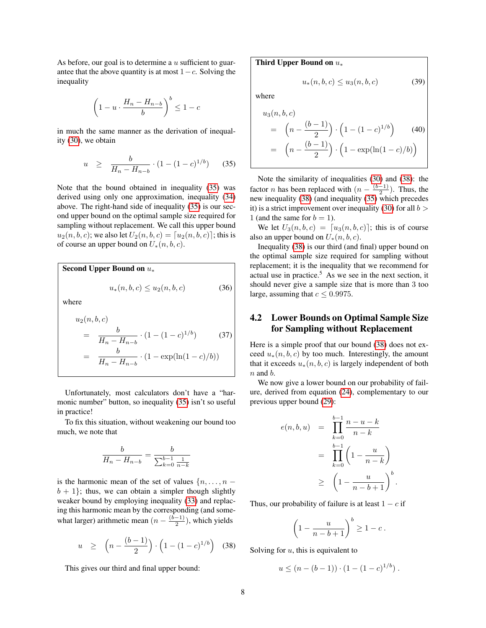As before, our goal is to determine a  $u$  sufficient to guarantee that the above quantity is at most  $1-c$ . Solving the inequality

$$
\left(1 - u \cdot \frac{H_n - H_{n-b}}{b}\right)^b \le 1 - c
$$

in much the same manner as the derivation of inequality [\(30\)](#page-6-1), we obtain

<span id="page-7-0"></span>
$$
u \geq \frac{b}{H_n - H_{n-b}} \cdot (1 - (1 - c)^{1/b}) \tag{35}
$$

Note that the bound obtained in inequality [\(35\)](#page-7-0) was derived using only one approximation, inequality [\(34\)](#page-6-2) above. The right-hand side of inequality [\(35\)](#page-7-0) is our second upper bound on the optimal sample size required for sampling without replacement. We call this upper bound  $u_2(n, b, c)$ ; we also let  $U_2(n, b, c) = [u_2(n, b, c)]$ ; this is of course an upper bound on  $U_*(n, b, c)$ .

Second Upper Bound on  $u_*$  $u_*(n, b, c) \le u_2(n, b, c)$  (36)

where

$$
u_2(n, b, c)
$$
  
= 
$$
\frac{b}{H_n - H_{n-b}} \cdot (1 - (1 - c)^{1/b})
$$
(37)  
= 
$$
\frac{b}{H_n - H_{n-b}} \cdot (1 - \exp(\ln(1 - c)/b))
$$

Unfortunately, most calculators don't have a "har-monic number" button, so inequality [\(35\)](#page-7-0) isn't so useful in practice!

To fix this situation, without weakening our bound too much, we note that

$$
\frac{b}{H_n - H_{n-b}} = \frac{b}{\sum_{k=0}^{b-1} \frac{1}{n-k}}
$$

is the harmonic mean of the set of values  $\{n, \ldots, n - \}$  $b + 1$ ; thus, we can obtain a simpler though slightly weaker bound by employing inequality [\(33\)](#page-6-3) and replacing this harmonic mean by the corresponding (and somewhat larger) arithmetic mean  $(n - \frac{(b-1)}{2})$  $\frac{(-1)}{2}$ ), which yields

<span id="page-7-1"></span>
$$
u \ge \left(n - \frac{(b-1)}{2}\right) \cdot \left(1 - (1-c)^{1/b}\right) \tag{38}
$$

This gives our third and final upper bound:

Third Upper Bound on  $u_*$ 

$$
u_*(n, b, c) \le u_3(n, b, c) \tag{39}
$$

where

$$
u_3(n, b, c)
$$
  
=  $\left(n - \frac{(b - 1)}{2}\right) \cdot \left(1 - (1 - c)^{1/b}\right)$  (40)  
=  $\left(n - \frac{(b - 1)}{2}\right) \cdot \left(1 - \exp(\ln(1 - c)/b)\right)$ 

Note the similarity of inequalities [\(30\)](#page-6-1) and [\(38\)](#page-7-1): the factor *n* has been replaced with  $\left(n - \frac{(b-1)}{2}\right)$  $\frac{-1}{2}$ ). Thus, the new inequality [\(38\)](#page-7-1) (and inequality [\(35\)](#page-7-0) which precedes it) is a strict improvement over inequality [\(30\)](#page-6-1) for all  $b >$ 1 (and the same for  $b = 1$ ).

We let  $U_3(n, b, c) = [u_3(n, b, c)]$ ; this is of course also an upper bound on  $U_*(n, b, c)$ .

Inequality [\(38\)](#page-7-1) is our third (and final) upper bound on the optimal sample size required for sampling without replacement; it is the inequality that we recommend for actual use in practice.<sup>5</sup> As we see in the next section, it should never give a sample size that is more than 3 too large, assuming that  $c \leq 0.9975$ .

# 4.2 Lower Bounds on Optimal Sample Size for Sampling without Replacement

Here is a simple proof that our bound [\(38\)](#page-7-1) does not exceed  $u_*(n, b, c)$  by too much. Interestingly, the amount that it exceeds  $u_*(n, b, c)$  is largely independent of both  $n$  and  $b$ .

We now give a lower bound on our probability of failure, derived from equation [\(24\)](#page-5-1), complementary to our previous upper bound [\(29\)](#page-6-1):

$$
e(n, b, u) = \prod_{k=0}^{b-1} \frac{n - u - k}{n - k}
$$
  
= 
$$
\prod_{k=0}^{b-1} \left(1 - \frac{u}{n - k}\right)
$$
  

$$
\geq \left(1 - \frac{u}{n - b + 1}\right)^b
$$

.

Thus, our probability of failure is at least  $1 - c$  if

$$
\left(1 - \frac{u}{n - b + 1}\right)^b \ge 1 - c.
$$

Solving for  $u$ , this is equivalent to

$$
u \le (n - (b - 1)) \cdot (1 - (1 - c)^{1/b}).
$$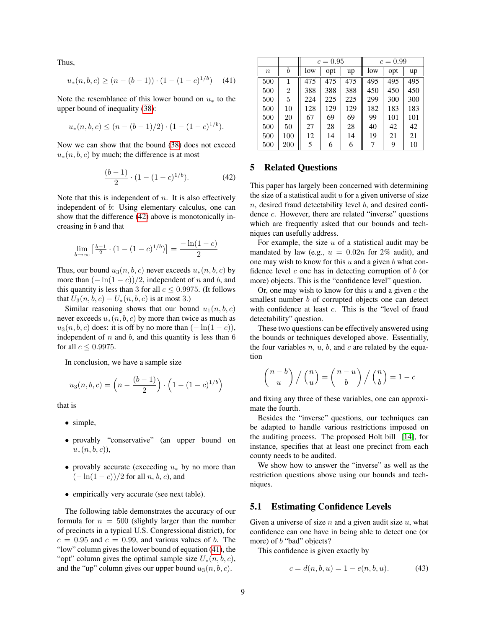Thus,

<span id="page-8-2"></span>
$$
u_*(n, b, c) \ge (n - (b - 1)) \cdot (1 - (1 - c)^{1/b}) \tag{41}
$$

Note the resemblance of this lower bound on  $u_*$  to the upper bound of inequality [\(38\)](#page-7-1):

$$
u_*(n,b,c) \le (n - (b-1)/2) \cdot (1 - (1 - c)^{1/b}).
$$

Now we can show that the bound [\(38\)](#page-7-1) does not exceed  $u_*(n, b, c)$  by much; the difference is at most

<span id="page-8-1"></span>
$$
\frac{(b-1)}{2} \cdot (1 - (1 - c)^{1/b}). \tag{42}
$$

Note that this is independent of  $n$ . It is also effectively independent of b: Using elementary calculus, one can show that the difference [\(42\)](#page-8-1) above is monotonically increasing in b and that

$$
\lim_{b \to \infty} \left[ \frac{b-1}{2} \cdot (1 - (1-c)^{1/b}) \right] = \frac{-\ln(1-c)}{2}
$$

Thus, our bound  $u_3(n, b, c)$  never exceeds  $u_*(n, b, c)$  by more than  $(-\ln(1-c))/2$ , independent of n and b, and this quantity is less than 3 for all  $c \leq 0.9975$ . (It follows that  $U_3(n, b, c) - U_*(n, b, c)$  is at most 3.)

Similar reasoning shows that our bound  $u_1(n, b, c)$ never exceeds  $u_*(n, b, c)$  by more than twice as much as  $u_3(n, b, c)$  does: it is off by no more than  $(-\ln(1-c))$ , independent of  $n$  and  $b$ , and this quantity is less than  $6$ for all  $c \leq 0.9975$ .

In conclusion, we have a sample size

$$
u_3(n, b, c) = \left(n - \frac{(b - 1)}{2}\right) \cdot \left(1 - (1 - c)^{1/b}\right)
$$

that is

- simple,
- provably "conservative" (an upper bound on  $u_*(n, b, c)$ ,
- provably accurate (exceeding  $u_*$  by no more than  $(-\ln(1-c))/2$  for all n, b, c), and
- empirically very accurate (see next table).

The following table demonstrates the accuracy of our formula for  $n = 500$  (slightly larger than the number of precincts in a typical U.S. Congressional district), for  $c = 0.95$  and  $c = 0.99$ , and various values of b. The "low" column gives the lower bound of equation [\(41\)](#page-8-2), the "opt" column gives the optimal sample size  $U_*(n, b, c)$ , and the "up" column gives our upper bound  $u_3(n, b, c)$ .

|                  |     | $c = 0.95$ |     |     | $c = 0.99$ |     |     |
|------------------|-----|------------|-----|-----|------------|-----|-----|
| $\boldsymbol{n}$ | b   | low        | opt | up  | low        | opt | up  |
| 500              | 1   | 475        | 475 | 475 | 495        | 495 | 495 |
| 500              | 2   | 388        | 388 | 388 | 450        | 450 | 450 |
| 500              | 5   | 224        | 225 | 225 | 299        | 300 | 300 |
| 500              | 10  | 128        | 129 | 129 | 182        | 183 | 183 |
| 500              | 20  | 67         | 69  | 69  | 99         | 101 | 101 |
| 500              | 50  | 27         | 28  | 28  | 40         | 42  | 42  |
| 500              | 100 | 12         | 14  | 14  | 19         | 21  | 21  |
| 500              | 200 | 5          | 6   | 6   | 7          | 9   | 10  |

## <span id="page-8-0"></span>5 Related Questions

This paper has largely been concerned with determining the size of a statistical audit  $u$  for a given universe of size  $n$ , desired fraud detectability level  $b$ , and desired confidence c. However, there are related "inverse" questions which are frequently asked that our bounds and techniques can usefully address.

For example, the size  $u$  of a statistical audit may be mandated by law (e.g.,  $u = 0.02n$  for 2% audit), and one may wish to know for this  $u$  and a given  $b$  what confidence level  $c$  one has in detecting corruption of  $b$  (or more) objects. This is the "confidence level" question.

Or, one may wish to know for this  $u$  and a given  $c$  the smallest number *b* of corrupted objects one can detect with confidence at least c. This is the "level of fraud detectability" question.

These two questions can be effectively answered using the bounds or techniques developed above. Essentially, the four variables  $n, u, b$ , and  $c$  are related by the equation

$$
\binom{n-b}{u} / \binom{n}{u} = \binom{n-u}{b} / \binom{n}{b} = 1 - c
$$

and fixing any three of these variables, one can approximate the fourth.

Besides the "inverse" questions, our techniques can be adapted to handle various restrictions imposed on the auditing process. The proposed Holt bill [\[14\]](#page-11-21), for instance, specifies that at least one precinct from each county needs to be audited.

We show how to answer the "inverse" as well as the restriction questions above using our bounds and techniques.

### 5.1 Estimating Confidence Levels

Given a universe of size  $n$  and a given audit size  $u$ , what confidence can one have in being able to detect one (or more) of *b* "bad" objects?

This confidence is given exactly by

<span id="page-8-3"></span>
$$
c = d(n, b, u) = 1 - e(n, b, u). \tag{43}
$$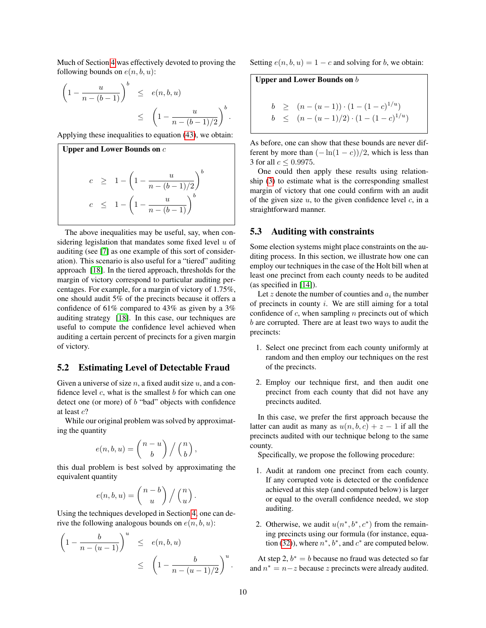Much of Section [4](#page-5-4) was effectively devoted to proving the following bounds on  $e(n, b, u)$ :

$$
\left(1 - \frac{u}{n - (b - 1)}\right)^b \le e(n, b, u)
$$
  

$$
\le \left(1 - \frac{u}{n - (b - 1)/2}\right)^b
$$

Applying these inequalities to equation [\(43\)](#page-8-3), we obtain:

Upper and Lower Bounds on c  
\n
$$
c \geq 1 - \left(1 - \frac{u}{n - (b - 1)/2}\right)^b
$$
\n
$$
c \leq 1 - \left(1 - \frac{u}{n - (b - 1)}\right)^b
$$

The above inequalities may be useful, say, when considering legislation that mandates some fixed level  $u$  of auditing (see [\[7\]](#page-11-22) as one example of this sort of consideration). This scenario is also useful for a "tiered" auditing approach [\[18\]](#page-11-18). In the tiered approach, thresholds for the margin of victory correspond to particular auditing percentages. For example, for a margin of victory of 1.75%, one should audit 5% of the precincts because it offers a confidence of 61% compared to 43% as given by a 3% auditing strategy [\[18\]](#page-11-18). In this case, our techniques are useful to compute the confidence level achieved when auditing a certain percent of precincts for a given margin of victory.

## 5.2 Estimating Level of Detectable Fraud

Given a universe of size n, a fixed audit size  $u$ , and a confidence level  $c$ , what is the smallest  $b$  for which can one detect one (or more) of  $b$  "bad" objects with confidence at least c?

While our original problem was solved by approximating the quantity

$$
e(n, b, u) = {n - u \choose b} / {n \choose b},
$$

this dual problem is best solved by approximating the equivalent quantity

$$
e(n, b, u) = {n - b \choose u} / {n \choose u}.
$$

Using the techniques developed in Section [4,](#page-5-4) one can derive the following analogous bounds on  $e(n, b, u)$ :

$$
\left(1 - \frac{b}{n - (u - 1)}\right)^u \le e(n, b, u)
$$
  

$$
\le \left(1 - \frac{b}{n - (u - 1)/2}\right)^u.
$$

Setting  $e(n, b, u) = 1 - c$  and solving for b, we obtain:

#### Upper and Lower Bounds on  $b$

.

$$
b \ge (n - (u - 1)) \cdot (1 - (1 - c)^{1/u})
$$
  
\n
$$
b \le (n - (u - 1)/2) \cdot (1 - (1 - c)^{1/u})
$$

As before, one can show that these bounds are never different by more than  $(-\ln(1-c))/2$ , which is less than 3 for all  $c \leq 0.9975$ .

One could then apply these results using relationship [\(3\)](#page-3-1) to estimate what is the corresponding smallest margin of victory that one could confirm with an audit of the given size  $u$ , to the given confidence level  $c$ , in a straightforward manner.

### 5.3 Auditing with constraints

Some election systems might place constraints on the auditing process. In this section, we illustrate how one can employ our techniques in the case of the Holt bill when at least one precinct from each county needs to be audited (as specified in [\[14\]](#page-11-21)).

Let z denote the number of counties and  $a_i$  the number of precincts in county  $i$ . We are still aiming for a total confidence of  $c$ , when sampling  $n$  precincts out of which b are corrupted. There are at least two ways to audit the precincts:

- 1. Select one precinct from each county uniformly at random and then employ our techniques on the rest of the precincts.
- 2. Employ our technique first, and then audit one precinct from each county that did not have any precincts audited.

In this case, we prefer the first approach because the latter can audit as many as  $u(n, b, c) + z - 1$  if all the precincts audited with our technique belong to the same county.

Specifically, we propose the following procedure:

- 1. Audit at random one precinct from each county. If any corrupted vote is detected or the confidence achieved at this step (and computed below) is larger or equal to the overall confidence needed, we stop auditing.
- 2. Otherwise, we audit  $u(n^*, b^*, c^*)$  from the remaining precincts using our formula (for instance, equa-tion [\(32\)](#page-6-4)), where  $n^*$ ,  $b^*$ , and  $c^*$  are computed below.

At step 2,  $b^* = b$  because no fraud was detected so far and  $n^* = n - z$  because z precincts were already audited.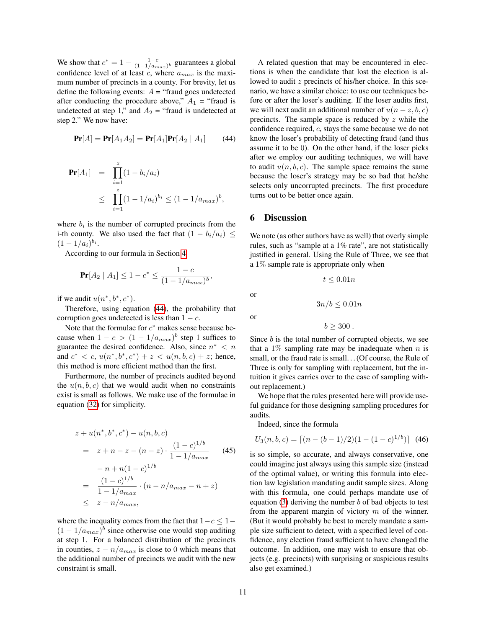We show that  $c^* = 1 - \frac{1-c}{(1-1/a_{max})^b}$  guarantees a global confidence level of at least  $c$ , where  $a_{max}$  is the maximum number of precincts in a county. For brevity, let us define the following events:  $A =$  "fraud goes undetected after conducting the procedure above,"  $A_1$  = "fraud is undetected at step 1," and  $A_2$  = "fraud is undetected at step 2." We now have:

<span id="page-10-0"></span>
$$
\Pr[A] = \Pr[A_1 A_2] = \Pr[A_1] \Pr[A_2 | A_1] \tag{44}
$$

$$
\begin{array}{rcl} \Pr[A_1] & = & \prod_{i=1}^z (1 - b_i/a_i) \\ & \leq & \prod_{i=1}^z (1 - 1/a_i)^{b_i} \leq (1 - 1/a_{max})^b, \end{array}
$$

where  $b_i$  is the number of corrupted precincts from the i-th county. We also used the fact that  $(1 - b_i/a_i) \le$  $(1-1/a_i)^{b_i}.$ 

According to our formula in Section [4,](#page-5-4)

$$
\Pr[A_2 \mid A_1] \le 1 - c^* \le \frac{1 - c}{(1 - 1/a_{max})^b},
$$

if we audit  $u(n^*, b^*, c^*)$ .

Therefore, using equation [\(44\)](#page-10-0), the probability that corruption goes undetected is less than  $1 - c$ .

Note that the formulae for  $c^*$  makes sense because because when  $1 - c > (1 - 1/a_{max})^b$  step 1 suffices to guarantee the desired confidence. Also, since  $n^* < n$ and  $c^* < c$ ,  $u(n^*, b^*, c^*) + z < u(n, b, c) + z$ ; hence, this method is more efficient method than the first.

Furthermore, the number of precincts audited beyond the  $u(n, b, c)$  that we would audit when no constraints exist is small as follows. We make use of the formulae in equation [\(32\)](#page-6-4) for simplicity.

$$
z + u(n^*, b^*, c^*) - u(n, b, c)
$$
  
=  $z + n - z - (n - z) \cdot \frac{(1 - c)^{1/b}}{1 - 1/a_{max}}$  (45)  
 $- n + n(1 - c)^{1/b}$   
=  $\frac{(1 - c)^{1/b}}{1 - 1/a_{max}} \cdot (n - n/a_{max} - n + z)$   
 $\leq z - n/a_{max},$ 

where the inequality comes from the fact that  $1-c \leq 1 (1 - 1/a_{max})^b$  since otherwise one would stop auditing at step 1. For a balanced distribution of the precincts in counties,  $z - n/a_{max}$  is close to 0 which means that the additional number of precincts we audit with the new constraint is small.

A related question that may be encountered in elections is when the candidate that lost the election is allowed to audit z precincts of his/her choice. In this scenario, we have a similar choice: to use our techniques before or after the loser's auditing. If the loser audits first, we will next audit an additional number of  $u(n-z, b, c)$ precincts. The sample space is reduced by  $z$  while the confidence required, c, stays the same because we do not know the loser's probability of detecting fraud (and thus assume it to be 0). On the other hand, if the loser picks after we employ our auditing techniques, we will have to audit  $u(n, b, c)$ . The sample space remains the same because the loser's strategy may be so bad that he/she selects only uncorrupted precincts. The first procedure turns out to be better once again.

### 6 Discussion

We note (as other authors have as well) that overly simple rules, such as "sample at a 1% rate", are not statistically justified in general. Using the Rule of Three, we see that a 1% sample rate is appropriate only when

 $t \leq 0.01n$ 

or

or

$$
b \geq 300.
$$

 $3n/b \le 0.01n$ 

Since  $b$  is the total number of corrupted objects, we see that a 1% sampling rate may be inadequate when  $n$  is small, or the fraud rate is small... (Of course, the Rule of Three is only for sampling with replacement, but the intuition it gives carries over to the case of sampling without replacement.)

We hope that the rules presented here will provide useful guidance for those designing sampling procedures for audits.

Indeed, since the formula

$$
U_3(n, b, c) = \lceil (n - (b - 1)/2)(1 - (1 - c)^{1/b}) \rceil \tag{46}
$$

is so simple, so accurate, and always conservative, one could imagine just always using this sample size (instead of the optimal value), or writing this formula into election law legislation mandating audit sample sizes. Along with this formula, one could perhaps mandate use of equation  $(3)$  deriving the number b of bad objects to test from the apparent margin of victory  $m$  of the winner. (But it would probably be best to merely mandate a sample size sufficient to detect, with a specified level of confidence, any election fraud sufficient to have changed the outcome. In addition, one may wish to ensure that objects (e.g. precincts) with surprising or suspicious results also get examined.)